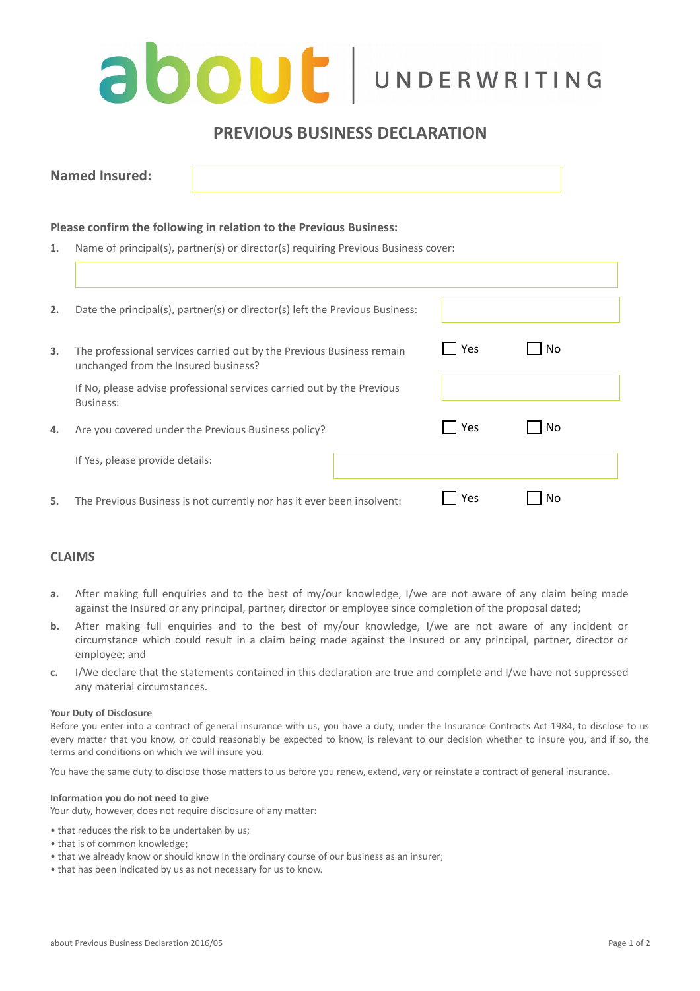# **about** UNDERWRITING

# **PREVIOUS BUSINESS DECLARATION**

| <b>Named</b><br>Insured: |  |
|--------------------------|--|
|                          |  |

### **Please confirm the following in relation to the Previous Business:**

**1.** Name of principal(s), partner(s) or director(s) requiring Previous Business cover:

| 2. | Date the principal(s), partner(s) or director(s) left the Previous Business:                                  |     |    |
|----|---------------------------------------------------------------------------------------------------------------|-----|----|
| 3. | The professional services carried out by the Previous Business remain<br>unchanged from the Insured business? |     | No |
|    | If No, please advise professional services carried out by the Previous<br>Business:                           |     |    |
|    |                                                                                                               |     |    |
| 4. | Are you covered under the Previous Business policy?                                                           | Yes | No |
|    | If Yes, please provide details:                                                                               |     |    |
| 5. | The Previous Business is not currently nor has it ever been insolvent:                                        | Yes | N٥ |

## **CLAIMS**

- **a.** After making full enquiries and to the best of my/our knowledge, I/we are not aware of any claim being made against the Insured or any principal, partner, director or employee since completion of the proposal dated;
- **b.** After making full enquiries and to the best of my/our knowledge, I/we are not aware of any incident or circumstance which could result in a claim being made against the Insured or any principal, partner, director or employee; and
- **c.** I/We declare that the statements contained in this declaration are true and complete and I/we have not suppressed any material circumstances.

#### **Your Duty of Disclosure**

Before you enter into a contract of general insurance with us, you have a duty, under the Insurance Contracts Act 1984, to disclose to us every matter that you know, or could reasonably be expected to know, is relevant to our decision whether to insure you, and if so, the terms and conditions on which we will insure you.

You have the same duty to disclose those matters to us before you renew, extend, vary or reinstate a contract of general insurance.

#### **Information you do not need to give**

Your duty, however, does not require disclosure of any matter:

- that reduces the risk to be undertaken by us;
- that is of common knowledge;
- that we already know or should know in the ordinary course of our business as an insurer;
- that has been indicated by us as not necessary for us to know.